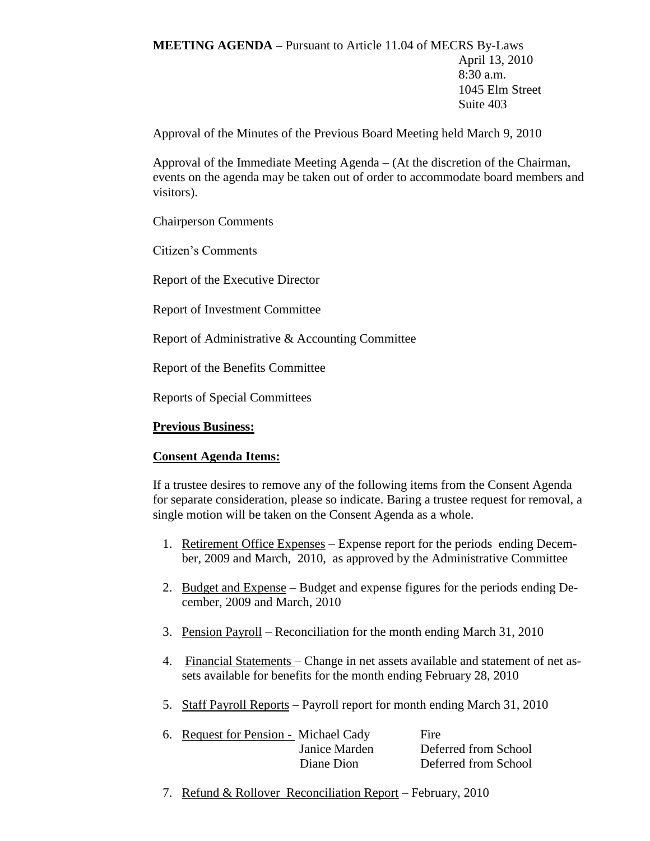**MEETING AGENDA –** Pursuant to Article 11.04 of MECRS By-Laws April 13, 2010 8:30 a.m. 1045 Elm Street Suite 403

Approval of the Minutes of the Previous Board Meeting held March 9, 2010

Approval of the Immediate Meeting Agenda – (At the discretion of the Chairman, events on the agenda may be taken out of order to accommodate board members and visitors).

Chairperson Comments

Citizen's Comments

Report of the Executive Director

Report of Investment Committee

Report of Administrative & Accounting Committee

Report of the Benefits Committee

Reports of Special Committees

## **Previous Business:**

#### **Consent Agenda Items:**

If a trustee desires to remove any of the following items from the Consent Agenda for separate consideration, please so indicate. Baring a trustee request for removal, a single motion will be taken on the Consent Agenda as a whole.

- 1. Retirement Office Expenses Expense report for the periods ending December, 2009 and March, 2010, as approved by the Administrative Committee
- 2. Budget and Expense Budget and expense figures for the periods ending December, 2009 and March, 2010
- 3. Pension Payroll Reconciliation for the month ending March 31, 2010
- 4. Financial Statements Change in net assets available and statement of net assets available for benefits for the month ending February 28, 2010
- 5. Staff Payroll Reports Payroll report for month ending March 31, 2010

|               | Fire                                  |
|---------------|---------------------------------------|
| Janice Marden | Deferred from School                  |
| Diane Dion    | Deferred from School                  |
|               | 6. Request for Pension - Michael Cady |

7. Refund & Rollover Reconciliation Report – February, 2010